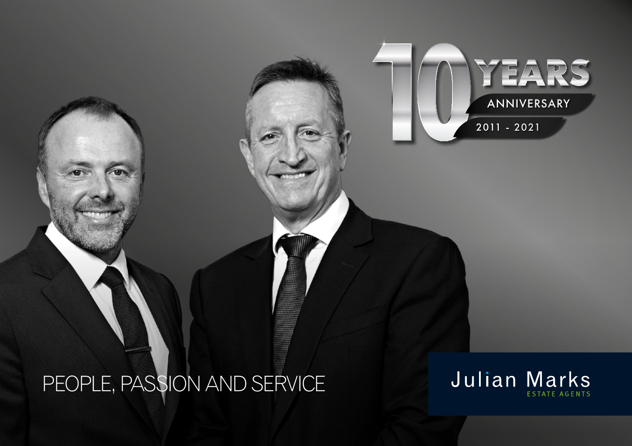## PEOPLE, PASSION AND SERVICE



ANNIVERSARY

YEARS

2011 - 2021